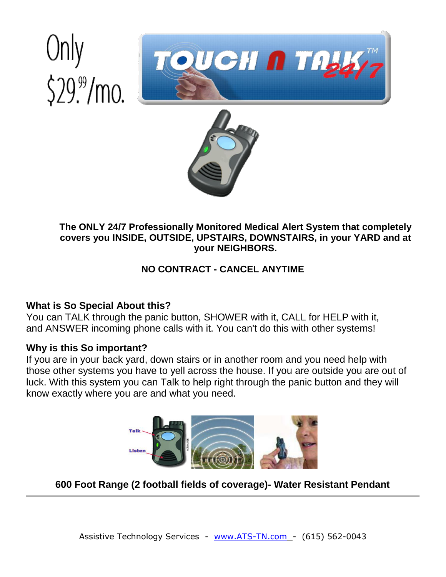# $$29\%$ /mo.





### **The ONLY 24/7 Professionally Monitored Medical Alert System that completely covers you INSIDE, OUTSIDE, UPSTAIRS, DOWNSTAIRS, in your YARD and at your NEIGHBORS.**

# **NO CONTRACT - CANCEL ANYTIME**

# **What is So Special About this?**

You can TALK through the panic button, SHOWER with it, CALL for HELP with it, and ANSWER incoming phone calls with it. You can't do this with other systems!

# **Why is this So important?**

If you are in your back yard, down stairs or in another room and you need help with those other systems you have to yell across the house. If you are outside you are out of luck. With this system you can Talk to help right through the panic button and they will know exactly where you are and what you need.



**600 Foot Range (2 football fields of coverage)- Water Resistant Pendant**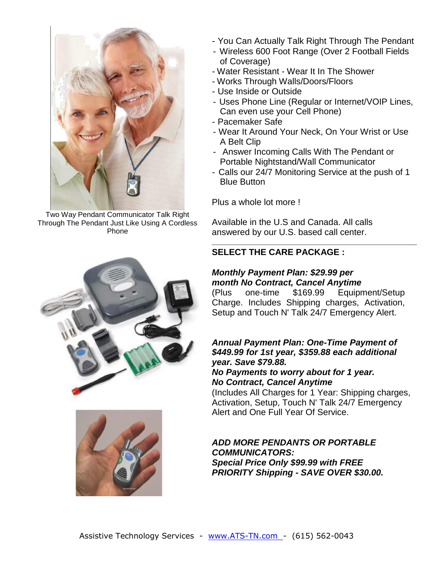

Two Way Pendant Communicator Talk Right Through The Pendant Just Like Using A Cordless Phone

- You Can Actually Talk Right Through The Pendant
- Wireless 600 Foot Range (Over 2 Football Fields of Coverage)
- Water Resistant Wear It In The Shower
- Works Through Walls/Doors/Floors
- Use Inside or Outside
- Uses Phone Line (Regular or Internet/VOIP Lines, Can even use your Cell Phone)
- Pacemaker Safe
- Wear It Around Your Neck, On Your Wrist or Use A Belt Clip
- Answer Incoming Calls With The Pendant or Portable Nightstand/Wall Communicator
- Calls our 24/7 Monitoring Service at the push of 1 Blue Button

Plus a whole lot more !

Available in the U.S and Canada. All calls answered by our U.S. based call center.

#### **SELECT THE CARE PACKAGE :**

#### *Monthly Payment Plan: \$29.99 per month No Contract, Cancel Anytime*

(Plus one-time \$169.99 Equipment/Setup Charge. Includes Shipping charges, Activation, Setup and Touch N' Talk 24/7 Emergency Alert.

#### *Annual Payment Plan: One-Time Payment of \$449.99 for 1st year, \$359.88 each additional year. Save \$79.88.*

#### *No Payments to worry about for 1 year. No Contract, Cancel Anytime*

(Includes All Charges for 1 Year: Shipping charges, Activation, Setup, Touch N' Talk 24/7 Emergency Alert and One Full Year Of Service.

#### *ADD MORE PENDANTS OR PORTABLE COMMUNICATORS: Special Price Only \$99.99 with FREE PRIORITY Shipping - SAVE OVER \$30.00.*



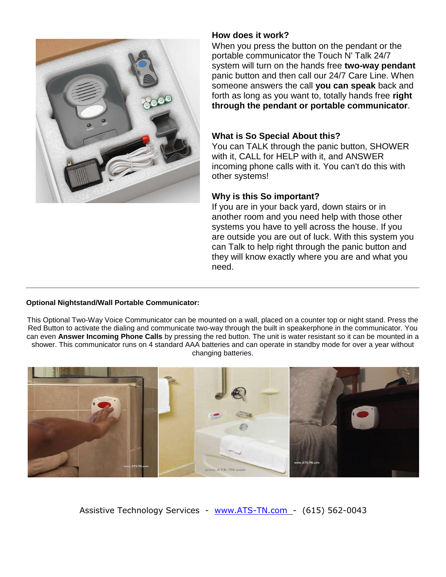

#### **How does it work?**

When you press the button on the pendant or the portable communicator the Touch N' Talk 24/7 system will turn on the hands free **two-way pendant** panic button and then call our 24/7 Care Line. When someone answers the call **you can speak** back and forth as long as you want to, totally hands free **right through the pendant or portable communicator**.

#### **What is So Special About this?**

You can TALK through the panic button, SHOWER with it, CALL for HELP with it, and ANSWER incoming phone calls with it. You can't do this with other systems!

#### **Why is this So important?**

If you are in your back yard, down stairs or in another room and you need help with those other systems you have to yell across the house. If you are outside you are out of luck. With this system you can Talk to help right through the panic button and they will know exactly where you are and what you need.

#### **Optional Nightstand/Wall Portable Communicator:**

This Optional Two-Way Voice Communicator can be mounted on a wall, placed on a counter top or night stand. Press the Red Button to activate the dialing and communicate two-way through the built in speakerphone in the communicator. You can even **Answer Incoming Phone Calls** by pressing the red button. The unit is water resistant so it can be mounted in a shower. This communicator runs on 4 standard AAA batteries and can operate in standby mode for over a year without changing batteries.



Assistive Technology Services - [www.ATS-TN.com -](http://www.ats-tn.com/) (615) 562-0043